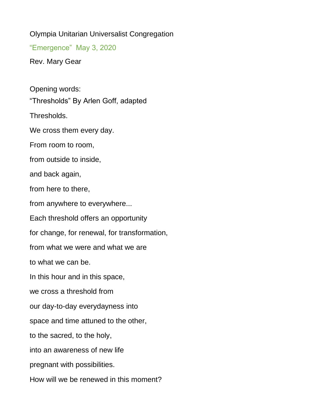Olympia Unitarian Universalist Congregation

"Emergence" May 3, 2020

Rev. Mary Gear

Opening words: "Thresholds" By Arlen Goff, adapted Thresholds. We cross them every day. From room to room, from outside to inside, and back again, from here to there, from anywhere to everywhere... Each threshold offers an opportunity for change, for renewal, for transformation, from what we were and what we are to what we can be. In this hour and in this space, we cross a threshold from our day-to-day everydayness into space and time attuned to the other, to the sacred, to the holy, into an awareness of new life pregnant with possibilities. How will we be renewed in this moment?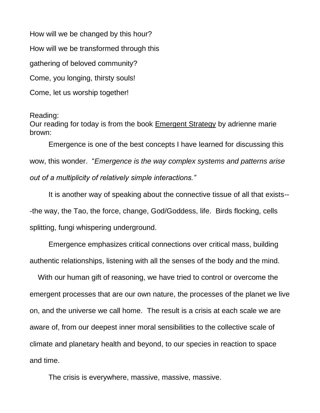How will we be changed by this hour?

How will we be transformed through this

gathering of beloved community?

Come, you longing, thirsty souls!

Come, let us worship together!

## Reading:

Our reading for today is from the book Emergent Strategy by adrienne marie brown:

Emergence is one of the best concepts I have learned for discussing this wow, this wonder. "*Emergence is the way complex systems and patterns arise out of a multiplicity of relatively simple interactions."*

It is another way of speaking about the connective tissue of all that exists-- -the way, the Tao, the force, change, God/Goddess, life. Birds flocking, cells splitting, fungi whispering underground.

Emergence emphasizes critical connections over critical mass, building authentic relationships, listening with all the senses of the body and the mind.

 With our human gift of reasoning, we have tried to control or overcome the emergent processes that are our own nature, the processes of the planet we live on, and the universe we call home. The result is a crisis at each scale we are aware of, from our deepest inner moral sensibilities to the collective scale of climate and planetary health and beyond, to our species in reaction to space and time.

The crisis is everywhere, massive, massive, massive.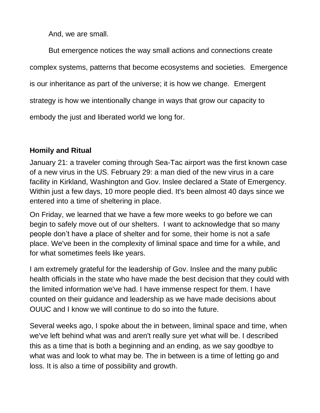And, we are small.

But emergence notices the way small actions and connections create complex systems, patterns that become ecosystems and societies. Emergence is our inheritance as part of the universe; it is how we change. Emergent strategy is how we intentionally change in ways that grow our capacity to embody the just and liberated world we long for.

## **Homily and Ritual**

January 21: a traveler coming through Sea-Tac airport was the first known case of a new virus in the US. February 29: a man died of the new virus in a care facility in Kirkland, Washington and Gov. Inslee declared a State of Emergency. Within just a few days, 10 more people died. It's been almost 40 days since we entered into a time of sheltering in place.

On Friday, we learned that we have a few more weeks to go before we can begin to safely move out of our shelters. I want to acknowledge that so many people don't have a place of shelter and for some, their home is not a safe place. We've been in the complexity of liminal space and time for a while, and for what sometimes feels like years.

I am extremely grateful for the leadership of Gov. Inslee and the many public health officials in the state who have made the best decision that they could with the limited information we've had. I have immense respect for them. I have counted on their guidance and leadership as we have made decisions about OUUC and I know we will continue to do so into the future.

Several weeks ago, I spoke about the in between, liminal space and time, when we've left behind what was and aren't really sure yet what will be. I described this as a time that is both a beginning and an ending, as we say goodbye to what was and look to what may be. The in between is a time of letting go and loss. It is also a time of possibility and growth.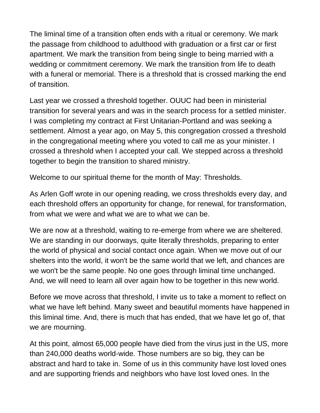The liminal time of a transition often ends with a ritual or ceremony. We mark the passage from childhood to adulthood with graduation or a first car or first apartment. We mark the transition from being single to being married with a wedding or commitment ceremony. We mark the transition from life to death with a funeral or memorial. There is a threshold that is crossed marking the end of transition.

Last year we crossed a threshold together. OUUC had been in ministerial transition for several years and was in the search process for a settled minister. I was completing my contract at First Unitarian-Portland and was seeking a settlement. Almost a year ago, on May 5, this congregation crossed a threshold in the congregational meeting where you voted to call me as your minister. I crossed a threshold when I accepted your call. We stepped across a threshold together to begin the transition to shared ministry.

Welcome to our spiritual theme for the month of May: Thresholds.

As Arlen Goff wrote in our opening reading, we cross thresholds every day, and each threshold offers an opportunity for change, for renewal, for transformation, from what we were and what we are to what we can be.

We are now at a threshold, waiting to re-emerge from where we are sheltered. We are standing in our doorways, quite literally thresholds, preparing to enter the world of physical and social contact once again. When we move out of our shelters into the world, it won't be the same world that we left, and chances are we won't be the same people. No one goes through liminal time unchanged. And, we will need to learn all over again how to be together in this new world.

Before we move across that threshold, I invite us to take a moment to reflect on what we have left behind. Many sweet and beautiful moments have happened in this liminal time. And, there is much that has ended, that we have let go of, that we are mourning.

At this point, almost 65,000 people have died from the virus just in the US, more than 240,000 deaths world-wide. Those numbers are so big, they can be abstract and hard to take in. Some of us in this community have lost loved ones and are supporting friends and neighbors who have lost loved ones. In the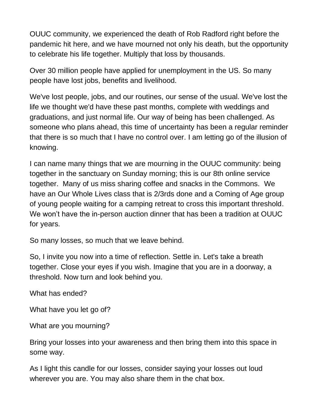OUUC community, we experienced the death of Rob Radford right before the pandemic hit here, and we have mourned not only his death, but the opportunity to celebrate his life together. Multiply that loss by thousands.

Over 30 million people have applied for unemployment in the US. So many people have lost jobs, benefits and livelihood.

We've lost people, jobs, and our routines, our sense of the usual. We've lost the life we thought we'd have these past months, complete with weddings and graduations, and just normal life. Our way of being has been challenged. As someone who plans ahead, this time of uncertainty has been a regular reminder that there is so much that I have no control over. I am letting go of the illusion of knowing.

I can name many things that we are mourning in the OUUC community: being together in the sanctuary on Sunday morning; this is our 8th online service together. Many of us miss sharing coffee and snacks in the Commons. We have an Our Whole Lives class that is 2/3rds done and a Coming of Age group of young people waiting for a camping retreat to cross this important threshold. We won't have the in-person auction dinner that has been a tradition at OUUC for years.

So many losses, so much that we leave behind.

So, I invite you now into a time of reflection. Settle in. Let's take a breath together. Close your eyes if you wish. Imagine that you are in a doorway, a threshold. Now turn and look behind you.

What has ended?

What have you let go of?

What are you mourning?

Bring your losses into your awareness and then bring them into this space in some way.

As I light this candle for our losses, consider saying your losses out loud wherever you are. You may also share them in the chat box.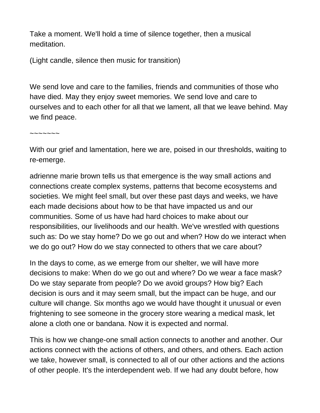Take a moment. We'll hold a time of silence together, then a musical meditation.

(Light candle, silence then music for transition)

We send love and care to the families, friends and communities of those who have died. May they enjoy sweet memories. We send love and care to ourselves and to each other for all that we lament, all that we leave behind. May we find peace.

 $\sim$  $\sim$  $\sim$  $\sim$  $\sim$ 

With our grief and lamentation, here we are, poised in our thresholds, waiting to re-emerge.

adrienne marie brown tells us that emergence is the way small actions and connections create complex systems, patterns that become ecosystems and societies. We might feel small, but over these past days and weeks, we have each made decisions about how to be that have impacted us and our communities. Some of us have had hard choices to make about our responsibilities, our livelihoods and our health. We've wrestled with questions such as: Do we stay home? Do we go out and when? How do we interact when we do go out? How do we stay connected to others that we care about?

In the days to come, as we emerge from our shelter, we will have more decisions to make: When do we go out and where? Do we wear a face mask? Do we stay separate from people? Do we avoid groups? How big? Each decision is ours and it may seem small, but the impact can be huge, and our culture will change. Six months ago we would have thought it unusual or even frightening to see someone in the grocery store wearing a medical mask, let alone a cloth one or bandana. Now it is expected and normal.

This is how we change-one small action connects to another and another. Our actions connect with the actions of others, and others, and others. Each action we take, however small, is connected to all of our other actions and the actions of other people. It's the interdependent web. If we had any doubt before, how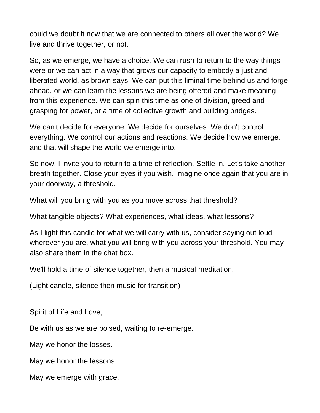could we doubt it now that we are connected to others all over the world? We live and thrive together, or not.

So, as we emerge, we have a choice. We can rush to return to the way things were or we can act in a way that grows our capacity to embody a just and liberated world, as brown says. We can put this liminal time behind us and forge ahead, or we can learn the lessons we are being offered and make meaning from this experience. We can spin this time as one of division, greed and grasping for power, or a time of collective growth and building bridges.

We can't decide for everyone. We decide for ourselves. We don't control everything. We control our actions and reactions. We decide how we emerge, and that will shape the world we emerge into.

So now, I invite you to return to a time of reflection. Settle in. Let's take another breath together. Close your eyes if you wish. Imagine once again that you are in your doorway, a threshold.

What will you bring with you as you move across that threshold?

What tangible objects? What experiences, what ideas, what lessons?

As I light this candle for what we will carry with us, consider saying out loud wherever you are, what you will bring with you across your threshold. You may also share them in the chat box.

We'll hold a time of silence together, then a musical meditation.

(Light candle, silence then music for transition)

Spirit of Life and Love,

Be with us as we are poised, waiting to re-emerge.

May we honor the losses.

May we honor the lessons.

May we emerge with grace.